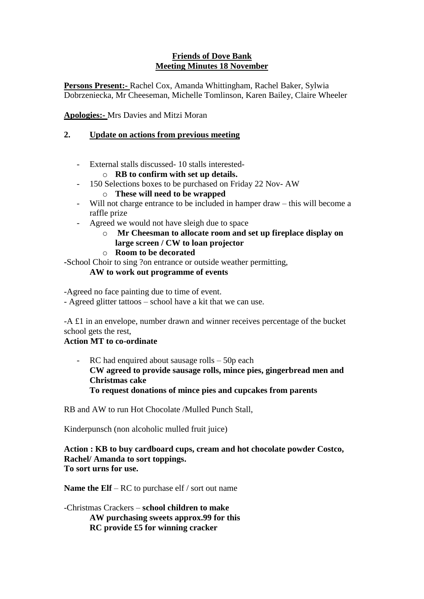# **Friends of Dove Bank Meeting Minutes 18 November**

**Persons Present:-** Rachel Cox, Amanda Whittingham, Rachel Baker, Sylwia Dobrzeniecka, Mr Cheeseman, Michelle Tomlinson, Karen Bailey, Claire Wheeler

**Apologies:-** Mrs Davies and Mitzi Moran

# **2. Update on actions from previous meeting**

- External stalls discussed- 10 stalls interestedo **RB to confirm with set up details.**
- 150 Selections boxes to be purchased on Friday 22 Nov- AW
	- o **These will need to be wrapped**
- Will not charge entrance to be included in hamper draw this will become a raffle prize
	- Agreed we would not have sleigh due to space
		- o **Mr Cheesman to allocate room and set up fireplace display on large screen / CW to loan projector**
		- o **Room to be decorated**

**-**School Choir to sing ?on entrance or outside weather permitting,

### **AW to work out programme of events**

-Agreed no face painting due to time of event.

- Agreed glitter tattoos – school have a kit that we can use.

-A £1 in an envelope, number drawn and winner receives percentage of the bucket school gets the rest,

# **Action MT to co-ordinate**

- RC had enquired about sausage rolls – 50p each **CW agreed to provide sausage rolls, mince pies, gingerbread men and Christmas cake To request donations of mince pies and cupcakes from parents**

RB and AW to run Hot Chocolate /Mulled Punch Stall,

Kinderpunsch (non alcoholic mulled fruit juice)

#### **Action : KB to buy cardboard cups, cream and hot chocolate powder Costco, Rachel/ Amanda to sort toppings. To sort urns for use.**

**Name the Elf** – RC to purchase elf / sort out name

-Christmas Crackers – **school children to make AW purchasing sweets approx.99 for this RC provide £5 for winning cracker**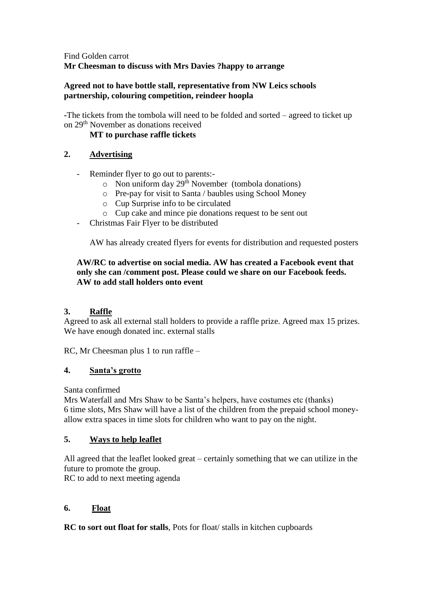# Find Golden carrot **Mr Cheesman to discuss with Mrs Davies ?happy to arrange**

# **Agreed not to have bottle stall, representative from NW Leics schools partnership, colouring competition, reindeer hoopla**

**-**The tickets from the tombola will need to be folded and sorted – agreed to ticket up on 29th November as donations received

# **MT to purchase raffle tickets**

# **2. Advertising**

- Reminder flyer to go out to parents:-
	- $\circ$  Non uniform day 29<sup>th</sup> November (tombola donations)
	- o Pre-pay for visit to Santa / baubles using School Money
	- o Cup Surprise info to be circulated
	- o Cup cake and mince pie donations request to be sent out
- Christmas Fair Flyer to be distributed

AW has already created flyers for events for distribution and requested posters

# **AW/RC to advertise on social media. AW has created a Facebook event that only she can /comment post. Please could we share on our Facebook feeds. AW to add stall holders onto event**

# **3. Raffle**

Agreed to ask all external stall holders to provide a raffle prize. Agreed max 15 prizes. We have enough donated inc. external stalls

RC, Mr Cheesman plus 1 to run raffle –

# **4. Santa's grotto**

Santa confirmed

Mrs Waterfall and Mrs Shaw to be Santa's helpers, have costumes etc (thanks) 6 time slots, Mrs Shaw will have a list of the children from the prepaid school moneyallow extra spaces in time slots for children who want to pay on the night.

# **5. Ways to help leaflet**

All agreed that the leaflet looked great – certainly something that we can utilize in the future to promote the group.

RC to add to next meeting agenda

# **6. Float**

**RC to sort out float for stalls**, Pots for float/ stalls in kitchen cupboards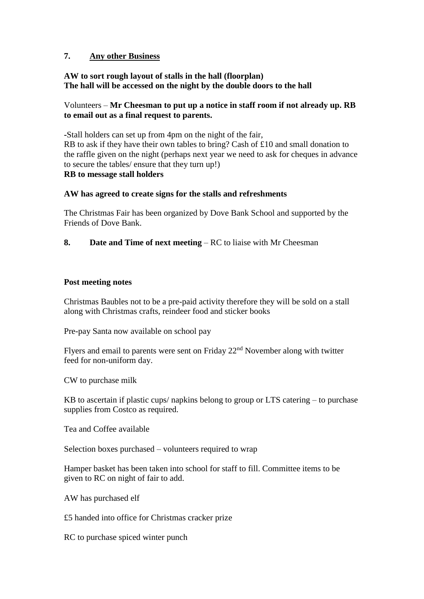# **7. Any other Business**

### **AW to sort rough layout of stalls in the hall (floorplan) The hall will be accessed on the night by the double doors to the hall**

### Volunteers – **Mr Cheesman to put up a notice in staff room if not already up. RB to email out as a final request to parents.**

**-**Stall holders can set up from 4pm on the night of the fair, RB to ask if they have their own tables to bring? Cash of £10 and small donation to the raffle given on the night (perhaps next year we need to ask for cheques in advance to secure the tables/ ensure that they turn up!)

#### **RB to message stall holders**

#### **AW has agreed to create signs for the stalls and refreshments**

The Christmas Fair has been organized by Dove Bank School and supported by the Friends of Dove Bank.

**8.** Date and Time of next meeting – RC to liaise with Mr Cheesman

#### **Post meeting notes**

Christmas Baubles not to be a pre-paid activity therefore they will be sold on a stall along with Christmas crafts, reindeer food and sticker books

Pre-pay Santa now available on school pay

Flyers and email to parents were sent on Friday  $22<sup>nd</sup>$  November along with twitter feed for non-uniform day.

CW to purchase milk

KB to ascertain if plastic cups/ napkins belong to group or LTS catering – to purchase supplies from Costco as required.

Tea and Coffee available

Selection boxes purchased – volunteers required to wrap

Hamper basket has been taken into school for staff to fill. Committee items to be given to RC on night of fair to add.

AW has purchased elf

£5 handed into office for Christmas cracker prize

RC to purchase spiced winter punch